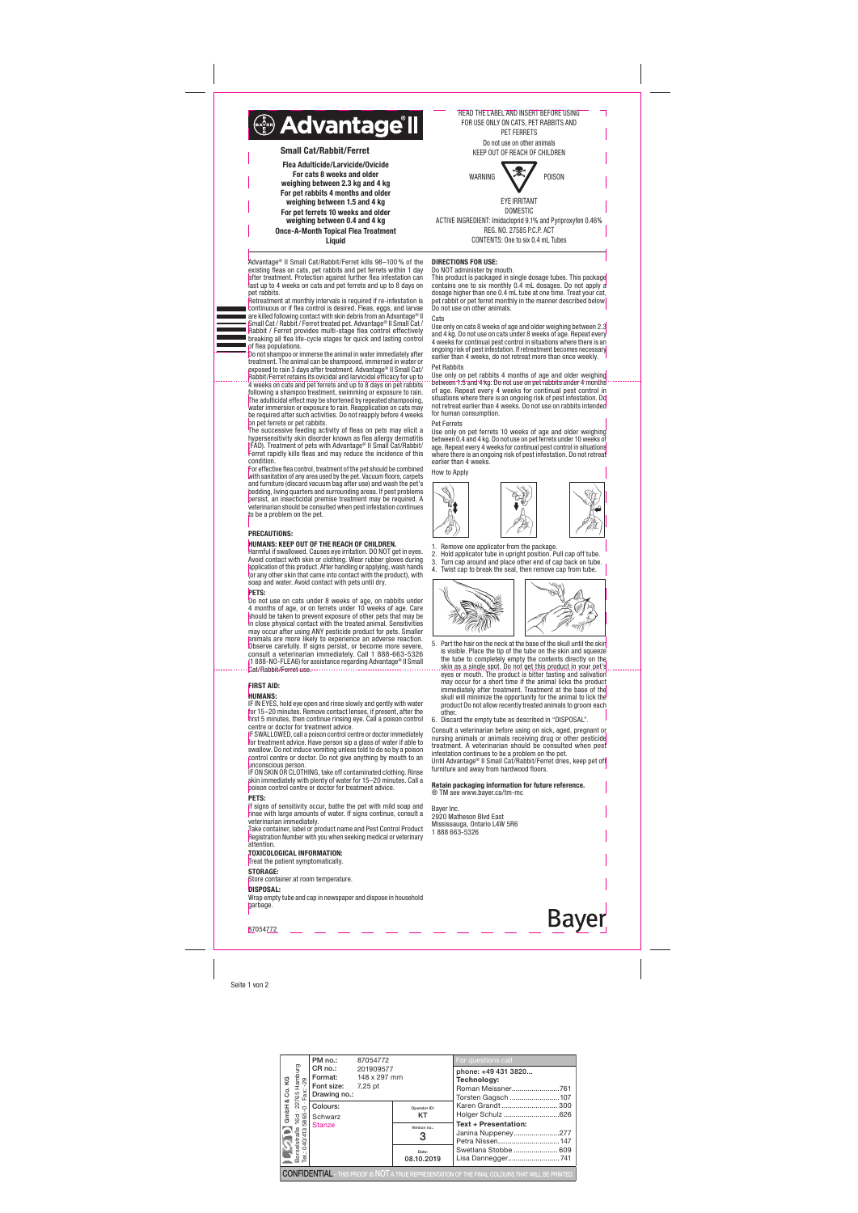Seite 1 von 2

Advantage® II Small Cat/Rabbit/Ferret kills 98–100% of the existing fleas on cats, pet rabbits and pet ferrets within 1 day after treatment. Protection against further flea infestation can last up to 4 weeks on cats and pet ferrets and up to 8 days on pet rabbits.

Retreatment at monthly intervals is required if re-infestation is continuous or if flea control is desired. Fleas, eggs, and larvae are killed following contact with skin debris from an Advantage® II Small Cat / Rabbit / Ferret treated pet. Advantage® II Small Cat / Rabbit / Ferret provides multi-stage flea control effectively breaking all flea life-cycle stages for quick and lasting control of flea populations.

Do not shampoo or immerse the animal in water immediately after treatment. The animal can be shampooed, immersed in water or exposed to rain 3 days after treatment. Advantage® II Small Cat/ Rabbit/Ferret retains its ovicidal and larvicidal efficacy for up to 4 weeks on cats and pet ferrets and up to 8 days on pet rabbits following a shampoo treatment, swimming or exposure to rain. The adulticidal effect may be shortened by repeated shampooing, water immersion or exposure to rain. Reapplication on cats may be required after such activities. Do not reapply before 4 weeks on pet ferrets or pet rabbits.

The successive feeding activity of fleas on pets may elicit a hypersensitivity skin disorder known as flea allergy dermatitis (FAD). Treatment of pets with Advantage® II Small Cat/Rabbit/ Ferret rapidly kills fleas and may reduce the incidence of this condition.

For effective flea control, treatment of the pet should be combined with sanitation of any area used by the pet. Vacuum floors, carpets and furniture (discard vacuum bag after use) and wash the pet's bedding, living quarters and surrounding areas. If pest problems persist, an insecticidal premise treatment may be required. A veterinarian should be consulted when pest infestation continues to be a problem on the pet.

#### PRECAUTIONS:

## HUMANS: KEEP OUT OF THE REACH OF CHILDREN.

Harmful if swallowed. Causes eye irritation. DO NOT get in eyes. Avoid contact with skin or clothing. Wear rubber gloves during application of this product. After handling or applying, wash hands (or any other skin that came into contact with the product), with soap and water. Avoid contact with pets until dry.

#### PETS:

**Cats** Use only on cats 8 weeks of age and older weighing between 2.3 and 4 kg. Do not use on cats under 8 weeks of age. Repeat every 4 weeks for continual pest control in situations where there is an ongoing risk of pest infestation. If retreatment becomes necessary

Do not use on cats under 8 weeks of age, on rabbits under 4 months of age, or on ferrets under 10 weeks of age. Care should be taken to prevent exposure of other pets that may be in close physical contact with the treated animal. Sensitivities may occur after using ANY pesticide product for pets. Smaller animals are more likely to experience an adverse reaction. Observe carefully. If signs persist, or become more severe, consult a veterinarian immediately. Call 1 888-663-5326 (1 888-NO-FLEA6) for assistance regarding Advantage® II Small Cat/Rabbit/Ferret use.

Use only on pet ferrets 10 weeks of age and older weighing between 0.4 and 4 kg. Do not use on pet ferrets under 10 weeks of age. Repeat every 4 weeks for continual pest control in situations where there is an ongoing risk of pest infestation. Do not retreat earlier than 4 weeks.

2. Hold applicator tube in upright position. Pull cap off tube. 3. Turn cap around and place other end of cap back on tube. Twist cap to break the seal, then remove cap from tube.



## FIRST AID:

## HUMANS:

IF IN EYES, hold eye open and rinse slowly and gently with water for 15–20 minutes. Remove contact lenses, if present, after the first 5 minutes, then continue rinsing eye. Call a poison control centre or doctor for treatment advice.

IF SWALLOWED, call a poison control centre or doctor immediately for treatment advice. Have person sip a glass of water if able to swallow. Do not induce vomiting unless told to do so by a poison control centre or doctor. Do not give anything by mouth to an unconscious person.

> **Bayer** Inc. 2920 Matheson Blvd East Mississauga, Ontario L4W 5R6 1 888 663-5326



**Bayer** 87054772

÷ WARNING POISON EYE IRRITANT DOMESTIC

IF ON SKIN OR CLOTHING, take off contaminated clothing. Rinse skin immediately with plenty of water for 15–20 minutes. Call a poison control centre or doctor for treatment advice. PETS:

If signs of sensitivity occur, bathe the pet with mild soap and rinse with large amounts of water. If signs continue, consult a veterinarian immediately.

Take container, label or product name and Pest Control Product Registration Number with you when seeking medical or veterinary attention.

TOXICOLOGICAL INFORMATION:

# Treat the patient symptomation

**STORAGE:**<br>Store contain er at room temperature

DISPOSAL:

Wrap empty tube and cap in newspaper and dispose in household garbage.

#### DIRECTIONS FOR USE: Do NOT administer by mouth.

This product is packaged in single dosage tubes. This package contains one to six monthly 0.4 mL dosages. Do not apply a dosage higher than one 0.4 mL tube at one time. Treat your cat, pet rabbit or pet ferret monthly in the manner described below. Do not use on other animals.

Pet Rabbits Use only on pet rabbits 4 months of age and older weighing between 1.5 and 4 kg. Do not use on pet rabbits under 4 months of age. Repeat every 4 weeks for continual pest control in situations where there is an ongoing risk of pest infestation. Do not retreat earlier than 4 weeks. Do not use on rabbits intended for human consumption.

earlier than 4 weeks, do not retreat more than once weekly.

#### Pet Ferrets

#### How to Apply



# Remove one applicator from the package.

- 5. Part the hair on the neck at the base of the skull until the skin is visible. Place the tip of the tube on the skin and squeeze the tube to completely empty the contents directly on the skin as a single spot. Do not get this product in your pet's eyes or mouth. The product is bitter tasting and salivation'<br>may occur for a short time if the animal licks the product immediately after treatment. Treatment at the base of the skull will minimize the opportunity for the animal to lick the product Do not allow recently treated animals to groom each other.
- 6. Discard the empty tube as described in "DISPOSAL".

Consult a veterinarian before using on sick, aged, pregnant or nursing animals or animals receiving drug or other pesticide treatment. A veterinarian should be consulted when pest infestation continues to be a problem on the pet. Until Advantage® II Small Cat/Rabbit/Ferret dries, keep pet off furniture and away from hardwood floors.

Retain packaging information for future reference. ® TM see www.bayer.ca/tm-mc

READ THE LABEL AND INSERT BEFORE USING FOR USE ONLY ON CATS, PET RABBITS AND PET FERRETS Do not use on other animals KEEP OUT OF REACH OF CHILDREN

 $\Box$ 

ACTIVE INGREDIENT: Imidacloprid 9.1% and Pyriproxyfen 0.46% REG. NO. 27585 P.C.P. ACT CONTENTS: One to six 0.4 mL Tubes



| Co.KG     | PM no.:                                                                                                                                                                                                                                                                                                                                            | 87054772             |                     | For questions call                                                                                       |  |
|-----------|----------------------------------------------------------------------------------------------------------------------------------------------------------------------------------------------------------------------------------------------------------------------------------------------------------------------------------------------------|----------------------|---------------------|----------------------------------------------------------------------------------------------------------|--|
|           | Primate<br>En Roi.<br>CR no.:<br>Fort size<br>Fort size<br>Fort size<br>Fort size<br>Fort size<br>Fort size<br>Fort size<br>Scale<br>Scale<br>Scale<br>Scale<br>Scale<br>Scale<br>Scale<br>Scale<br>Scale<br>Scale<br>Scale<br>Scale<br>Scale<br>Scale<br>Scale<br>Scale<br>Scale<br><br><b>Format:</b> 148 x 297 mm<br>Font size:<br>Drawing no.: | 201909577<br>7,25 pt |                     | phone: +49 431 3820<br>Technology:<br>Roman Meissner761<br>Torsten Gagsch 107                            |  |
| ∝<br>GmbH |                                                                                                                                                                                                                                                                                                                                                    |                      | Operator ID:<br>KT  | Karen Grandt  300<br>Holger Schulz 626                                                                   |  |
|           |                                                                                                                                                                                                                                                                                                                                                    |                      | Version no.:<br>3   | <b>Text + Presentation:</b><br>Janina Nuppeney277                                                        |  |
|           |                                                                                                                                                                                                                                                                                                                                                    |                      | Date:<br>08.10.2019 | Swetlana Stobbe  609<br>Lisa Dannegger741                                                                |  |
|           |                                                                                                                                                                                                                                                                                                                                                    |                      |                     | <b>CONFIDENTIAL</b> - THIS PROOF IS NOT A TRUE REPRESENTATION OF THE FINAL COLOURS THAT WILL BE PRINTED. |  |